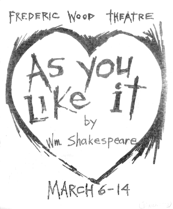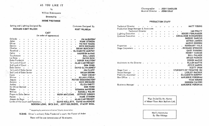AS YOU LIKE IT

# $by$

William Shakespeare

Directed by

Costumes Designed By

KURT WILHELM

## **IRENE PROTHROE**

Setting and Lighting Designed By

## RICHARD KENT WILCOX

## CAST

### (in order of appearance)

| Orlando                           |  |  |              |  |  |   |               | <b>JIM McQUEEN*</b>                  |
|-----------------------------------|--|--|--------------|--|--|---|---------------|--------------------------------------|
| Adam                              |  |  |              |  |  |   |               | <b>HANK STINSON</b>                  |
| Oliver                            |  |  |              |  |  |   |               | <b>VICTOR YOUNG</b>                  |
| Dennis                            |  |  |              |  |  |   |               | <b>NICK ORCHARD</b>                  |
| Charles                           |  |  |              |  |  |   |               | <b>BRIAN BUECKERT</b>                |
| Rosalind.                         |  |  |              |  |  |   |               | <b>ELIZABETH MURPHY</b>              |
| Celia                             |  |  |              |  |  |   |               | <b>MAUREEN McRAE</b>                 |
| Touchstone                        |  |  |              |  |  | ÷ |               | <b>BILL LOUIS</b>                    |
| Le Beau                           |  |  |              |  |  |   |               | <b>DAVID DICK</b>                    |
| Duke Frederick                    |  |  |              |  |  |   |               | DEREK RALSTON*                       |
| 1st Lord of Court                 |  |  |              |  |  |   |               | <b>ALAN CARTWRIGHT</b>               |
| 2nd Lord of Court                 |  |  |              |  |  |   |               | <b>DON FORD</b>                      |
| Duke Senior                       |  |  | $\bullet$    |  |  |   |               | DAVID GLYN-JONES*                    |
| 1st Lord of Duke Senior           |  |  |              |  |  |   |               | <b>JIM CLUFF</b>                     |
| 2nd Lord of Duke Senior           |  |  |              |  |  |   |               | <b>BRIAN BROWN</b>                   |
| Corin                             |  |  |              |  |  |   |               | <b>TONY CHICK*</b>                   |
| Silvius                           |  |  |              |  |  |   |               | <b>ALLAN LYSELL</b>                  |
| Jaques                            |  |  |              |  |  |   |               | PETER BROCKINGTON*                   |
| Amiens                            |  |  |              |  |  |   |               | <b>NICK ORCHARD</b>                  |
| Audrey                            |  |  |              |  |  |   |               | <b>ELIZA KNOTT</b>                   |
| Sir Oliver Martext                |  |  |              |  |  |   |               | <b>DON FORD</b>                      |
| Phebe                             |  |  |              |  |  |   |               | <b>SUSANNA McKEOWN</b>               |
| William                           |  |  |              |  |  |   |               | RUSSELL WALSH                        |
|                                   |  |  |              |  |  |   |               |                                      |
| Pages to Duke Senior              |  |  |              |  |  |   | HUGH MACLEAN, | <b>JEFFREY DENNIS</b>                |
| Hymen                             |  |  |              |  |  |   |               | <b>HANK STINSON</b>                  |
| Jaques de Boys                    |  |  |              |  |  |   |               | <b>ALAN CARTWRIGHT</b>               |
| Lords of the Court and Foresters. |  |  |              |  |  |   |               | DAVID KELLETT, DAVID MacKENZIE       |
|                                   |  |  | GORDON LONG, |  |  |   |               | DICK DAY, JEFF GOLDBERG, STACEY BOAL |

\* Appearing by permission of Actors' Equity Association

SCENE: Oliver's orchard; Duke Frederick's court; the Forest of Arden

There will be one intermission of 15 minutes.

Choreographer - JODY SANDLER Musical Director - JOHN GRAY

#### PRODUCTION STAFF

| Technical Director                   | $\bullet$   |                           | $\bullet$       | $\bullet$                                  |           |           |              |           |           |                              | <b>MATT YOUNG</b>              |
|--------------------------------------|-------------|---------------------------|-----------------|--------------------------------------------|-----------|-----------|--------------|-----------|-----------|------------------------------|--------------------------------|
| Production Stage Manager & Associate |             |                           |                 |                                            |           |           |              |           |           |                              |                                |
| <b>Technical Director</b>            |             |                           |                 |                                            | $\bullet$ |           | $\pmb{\psi}$ |           |           |                              | <b>IAN PRATT</b>               |
| <b>Lighting Execution</b>            | $\bullet$   | $\bullet$                 | $\sim$ $\alpha$ | $\mathcal{L}=\{\mathbf{e}^{(i)}\}_{i=1}^N$ | $\bullet$ | $\bullet$ | $\bullet$    | $\bullet$ | $\bullet$ | $\bullet$ .                  | ROGER FEHLHABER                |
| Costume Execution                    | $\bullet^+$ |                           | $\bullet$       | $\bullet$                                  |           |           |              |           |           |                              | <b>GERALDINE RICHARDSON</b>    |
|                                      |             |                           |                 |                                            |           |           |              |           |           |                              | <b>SHERRY DARCUS</b>           |
|                                      |             |                           |                 |                                            |           |           |              |           |           |                              | <b>ASTRID JANSON</b>           |
|                                      |             |                           |                 |                                            |           |           |              |           |           |                              | <b>MARGE GORDON</b>            |
| Properties                           |             |                           |                 |                                            |           |           |              |           |           |                              | ROSEMARY VALE                  |
| Stage Carpenters.                    | ¢           |                           |                 |                                            |           |           |              |           |           |                              | . RICHARD SPENCER              |
|                                      |             |                           |                 |                                            |           |           |              |           |           |                              | <b>GARY FANNING</b>            |
|                                      |             |                           |                 |                                            |           |           |              |           |           |                              | <b>HENRY YAEGER</b>            |
|                                      |             |                           |                 |                                            |           |           |              |           |           |                              | <b>BILL PALMER</b>             |
|                                      |             |                           |                 |                                            |           |           |              |           |           |                              | <b>BRIAN PARKER</b>            |
|                                      |             |                           |                 |                                            |           |           |              |           |           |                              | <b>DEREK MAZUR</b>             |
| Assistants to the Director.          |             |                           |                 |                                            |           |           |              |           |           |                              | <b>ELLEN MATTE</b>             |
|                                      |             |                           |                 |                                            |           |           |              |           |           |                              | <b>JOYCE MAREK</b>             |
|                                      |             |                           |                 |                                            |           |           |              |           |           |                              | SCOTT SWAN                     |
| Stage Crew.                          |             |                           |                 |                                            |           |           |              | s.        |           |                              | <b>STUDENTS OF THEATRE 350</b> |
| House Manager<br>$\mathbf{v}$        | $\bullet$   | $\bullet$                 | $\bullet$       | $\bullet$                                  | $\bullet$ |           | $\bullet$    | $\bullet$ |           |                              | <b>LESLEY RACHUK</b>           |
| Publicity Assistant                  | $\bullet$   | $\mathbf{v}^{\text{max}}$ | $\bar{\pmb{u}}$ | $\bullet$                                  | $\bullet$ |           | $\bullet$    | $\bullet$ |           | $\bullet$ . $\ddot{\bullet}$ | ELIZABETH MURPHY               |
| Box Office .                         |             |                           |                 | ò.                                         |           |           |              |           |           | ä                            | MARJORIE FORDHAM               |
|                                      |             |                           |                 |                                            |           |           |              |           |           |                              | <b>VICKI BRUNO</b>             |
|                                      |             |                           |                 |                                            |           |           |              |           |           |                              | <b>GORDON CAVERS</b>           |
| Business Manager                     |             |                           |                 |                                            |           |           |              |           |           | ۰                            | <b>MARJORIE FORDHAM</b>        |

Wigs Styled By Mr. Hunter of About Town Hair Stylists Ltd.

> Men's Hairstyles By The Vikings